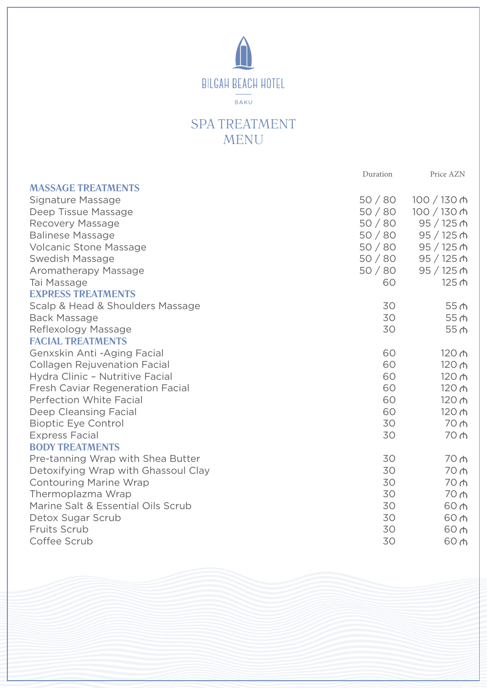

## SPA TREATMENT MENU

|                                         | Duration | Price AZN            |
|-----------------------------------------|----------|----------------------|
| <b>MASSAGE TREATMENTS</b>               |          |                      |
| Signature Massage                       | 50/80    | $100 / 130$ ሐ        |
| Deep Tissue Massage                     | 50/80    | 100 / 130 ₼          |
| Recovery Massage                        | 50/80    | 95/125 <sub>0</sub>  |
| <b>Balinese Massage</b>                 | 50/80    | $95/125$ $\triangle$ |
| <b>Volcanic Stone Massage</b>           | 50/80    | $95/125$ ሐ           |
| Swedish Massage                         | 50/80    | $95/125$ ሐ           |
| Aromatherapy Massage                    | 50/80    | $95 / 125$ ሐ         |
| Tai Massage                             | 60       | 125 ሐ                |
| <b>EXPRESS TREATMENTS</b>               |          |                      |
| Scalp & Head & Shoulders Massage        | 30       | 55 <sub>0</sub>      |
| <b>Back Massage</b>                     | 30       | 55 <sub>th</sub>     |
| Reflexology Massage                     | 30       | 55 <sub>th</sub>     |
| <b>FACIAL TREATMENTS</b>                |          |                      |
| Genxskin Anti - Aging Facial            | 60       | 120 <sub>0</sub>     |
| <b>Collagen Rejuvenation Facial</b>     | 60       | 120 $\uparrow$       |
| Hydra Clinic - Nutritive Facial         | 60       | 120 <sub>0</sub>     |
| <b>Fresh Caviar Regeneration Facial</b> | 60       | 120 $\uparrow$       |
| <b>Perfection White Facial</b>          | 60       | 120 $\uparrow$       |
| Deep Cleansing Facial                   | 60       | 120 ሐ                |
| <b>Bioptic Eye Control</b>              | 30       | 70 <sub>0</sub>      |
| <b>Express Facial</b>                   | 30       | 70                   |
| <b>BODY TREATMENTS</b>                  |          |                      |
| Pre-tanning Wrap with Shea Butter       | 30       | 70 <sub>0</sub>      |
| Detoxifying Wrap with Ghassoul Clay     | 30       | 70 m                 |
| <b>Contouring Marine Wrap</b>           | 30       | 70 <sub>0</sub>      |
| Thermoplazma Wrap                       | 30       | 70 <sub>0</sub>      |
| Marine Salt & Essential Oils Scrub      | 30       | 60 m                 |
| Detox Sugar Scrub                       | 30       | 60 <sub>0</sub>      |
| Fruits Scrub                            | 30       | 60 m                 |
| Coffee Scrub                            | 30       | 60 m                 |